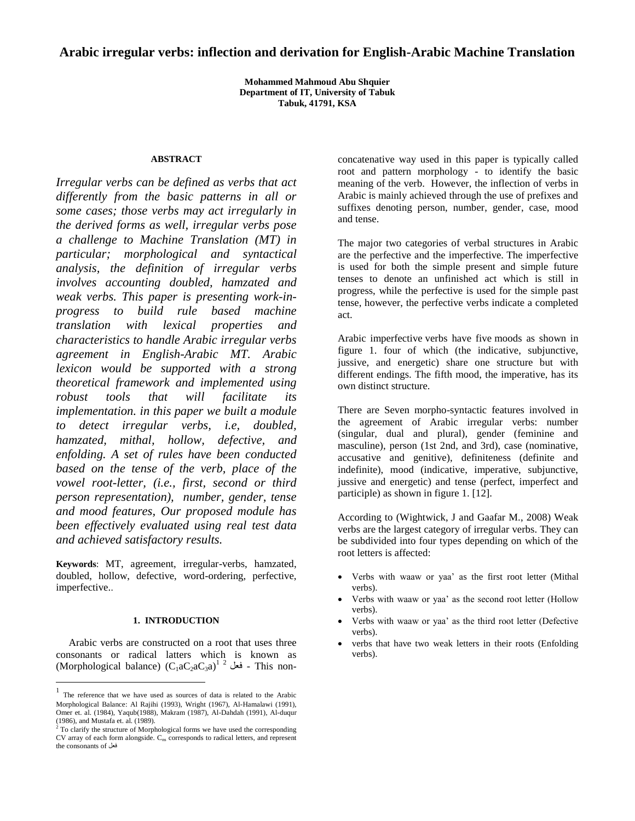# **Arabic irregular verbs: inflection and derivation for English-Arabic Machine Translation**

**Mohammed Mahmoud Abu Shquier Department of IT, University of Tabuk Tabuk, 41791, KSA**

## **ABSTRACT**

*Irregular verbs can be defined as verbs that act differently from the basic patterns in all or some cases; those verbs may act irregularly in the derived forms as well, irregular verbs pose a challenge to Machine Translation (MT) in particular; morphological and syntactical analysis, the definition of irregular verbs involves accounting doubled, hamzated and weak verbs. This paper is presenting work-inprogress to build rule based machine translation with lexical properties and characteristics to handle Arabic irregular verbs agreement in English-Arabic MT. Arabic lexicon would be supported with a strong theoretical framework and implemented using robust tools that will facilitate its implementation. in this paper we built a module to detect irregular verbs, i.e, doubled, hamzated, mithal, hollow, defective, and enfolding. A set of rules have been conducted based on the tense of the verb, place of the vowel root-letter, (i.e., first, second or third person representation), number, gender, tense and mood features, Our proposed module has been effectively evaluated using real test data and achieved satisfactory results.*

**Keywords**: MT, agreement, irregular-verbs, hamzated, doubled, hollow, defective, word-ordering, perfective, imperfective..

#### **1. INTRODUCTION**

Arabic verbs are constructed on a root that uses three consonants or radical latters which is known as (Morphological balance)  $(\mathrm{C}_1\mathrm{a}\mathrm{C}_2\mathrm{a}\mathrm{C}_3\mathrm{a})^{1/2}$  فعل  $-$  This non-

 $\overline{a}$ 

concatenative way used in this paper is typically called root and pattern morphology - to identify the basic meaning of the verb. However, the inflection of verbs in Arabic is mainly achieved through the use of prefixes and suffixes denoting person, number, gender, case, mood and tense.

The major two categories of verbal structures in Arabic are the perfective and the imperfective. The imperfective is used for both the simple present and simple future tenses to denote an unfinished act which is still in progress, while the perfective is used for the simple past tense, however, the perfective verbs indicate a completed act.

Arabic imperfective verbs have five [moods](http://arabic.tripod.com/Moods1.htm) as shown in figure 1. four of which (the indicative, subjunctive, jussive, and energetic) share one structure but with different endings. The fifth mood, the imperative, has its own distinct structure.

There are Seven morpho-syntactic features involved in the agreement of Arabic irregular verbs: number (singular, dual and plural), gender (feminine and masculine), person (1st 2nd, and 3rd), case (nominative, accusative and genitive), definiteness (definite and indefinite), mood (indicative, imperative, subjunctive, jussive and energetic) and tense (perfect, imperfect and participle) as shown in figure 1. [12].

According to (Wightwick, J and Gaafar M., 2008) Weak verbs are the largest category of irregular verbs. They can be subdivided into four types depending on which of the root letters is affected:

- Verbs with waaw or yaa' as the first root letter (Mithal verbs).
- Verbs with waaw or yaa' as the second root letter (Hollow verbs).
- Verbs with waaw or yaa' as the third root letter (Defective verbs).
- verbs that have two weak letters in their roots (Enfolding verbs).

<sup>1</sup> The reference that we have used as sources of data is related to the Arabic Morphological Balance: Al Rajihi (1993), Wright (1967), Al-Hamalawi (1991), Omer et. al. (1984), Yaqub(1988), Makram (1987), Al-Dahdah (1991), Al-duqur (1986), and Mustafa et. al. (1989).

<sup>2</sup> To clarify the structure of Morphological forms we have used the corresponding CV array of each form alongside. C<sub>ns</sub> corresponds to radical letters, and represent the consonants of فعل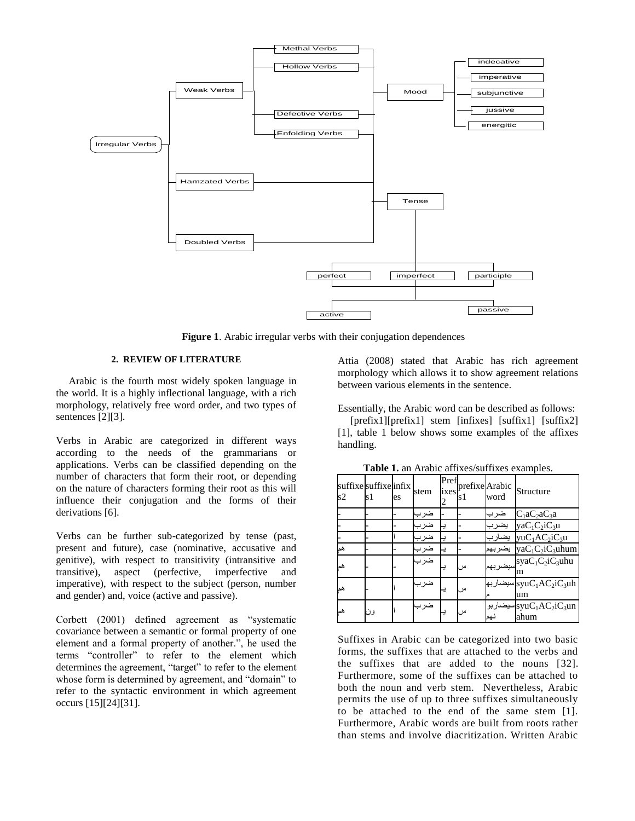

**Figure 1**. Arabic irregular verbs with their conjugation dependences

# **2. REVIEW OF LITERATURE**

Arabic is the fourth most widely spoken language in the world. It is a highly inflectional language, with a rich morphology, relatively free word order, and two types of sentences [2][3].

Verbs in Arabic are categorized in different ways according to the needs of the grammarians or applications. Verbs can be classified depending on the number of characters that form their root, or depending on the nature of characters forming their root as this will influence their conjugation and the forms of their derivations [6].

Verbs can be further sub-categorized by tense (past, present and future), case (nominative, accusative and genitive), with respect to transitivity (intransitive and transitive), aspect (perfective, imperfective and imperative), with respect to the subject (person, number and gender) and, voice (active and passive).

Corbett (2001) defined agreement as "systematic covariance between a semantic or formal property of one element and a formal property of another.", he used the terms "controller" to refer to the element which determines the agreement, "target" to refer to the element whose form is determined by agreement, and "domain" to refer to the syntactic environment in which agreement occurs [15][24][31].

Attia (2008) stated that Arabic has rich agreement morphology which allows it to show agreement relations between various elements in the sentence.

Essentially, the Arabic word can be described as follows:

[prefix1][prefix1] stem [infixes] [suffix1] [suffix2] [1], table 1 below shows some examples of the affixes handling.

| suffixe suffixe infix<br>s2 | s1 | es | stem | Pref<br>ixes | prefixe Arabic<br>s l | word    | Structure                                                    |
|-----------------------------|----|----|------|--------------|-----------------------|---------|--------------------------------------------------------------|
|                             |    |    | ضرب  |              |                       | ضرب     | $C_1$ a $C_2$ a $C_3$ a                                      |
|                             |    |    | ضرب  |              |                       | يضر ب   | $yaC_1C_2iC_3u$                                              |
|                             |    |    | ضرب  |              |                       |         | yu $C_1AC_2i\overline{C_3u}$                                 |
| ھە                          |    |    | ضرب  |              |                       | يضر بهم | ya $C_1C_2$ i $C_3$ uhum                                     |
| ھە                          |    |    | ضر ب |              |                       |         | $syaC_1C_2$ سىضىر بى<br>m                                    |
| ھە                          |    |    | ضر ب |              |                       |         | سيضىار بھ $\mathrm{svuC}_1$ A $\mathrm{C}_2$ نىيضىار ب<br>um |
| هما                         | ون |    | ضر ب |              |                       |         | سيضىاربو syu $\rm C_1AC_2iC_3un$<br>ahum                     |

**Table 1.** an Arabic affixes/suffixes examples.

Suffixes in Arabic can be categorized into two basic forms, the suffixes that are attached to the verbs and the suffixes that are added to the nouns [32]. Furthermore, some of the suffixes can be attached to both the noun and verb stem. Nevertheless, Arabic permits the use of up to three suffixes simultaneously to be attached to the end of the same stem [1]. Furthermore, Arabic words are built from roots rather than stems and involve diacritization. Written Arabic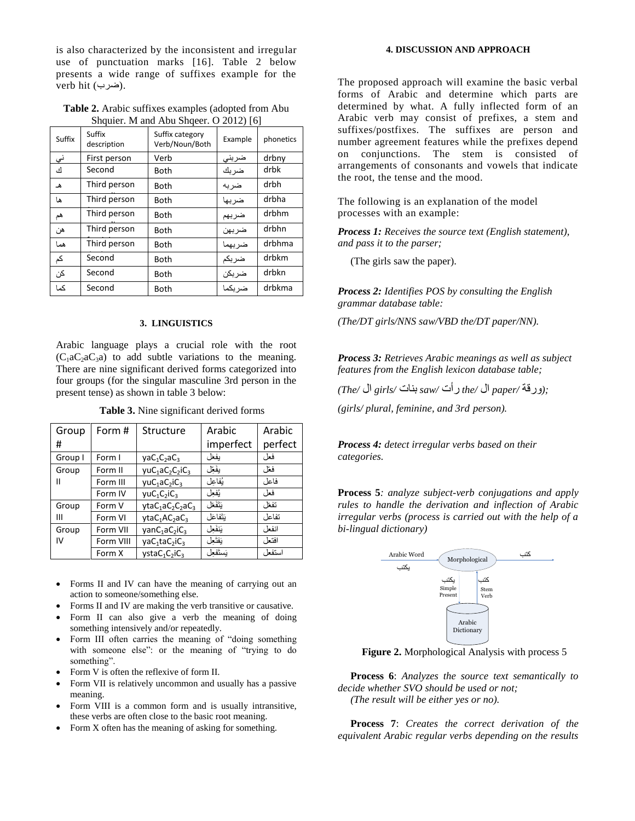is also characterized by the inconsistent and irregular use of punctuation marks [16]. Table 2 below presents a wide range of suffixes example for the verb hit (ضرب).

**Table 2.** Arabic suffixes examples (adopted from Abu Shquier. M and Abu Shqeer. O 2012) [6]

| Suffix | Suffix<br>description | Suffix category<br>Verb/Noun/Both | Example | phonetics |
|--------|-----------------------|-----------------------------------|---------|-----------|
| نی     | First person          | Verb                              | ضربنى   | drbny     |
| ك      | Second                | Both                              | ضربك    | drbk      |
| ه      | Third person          | Both                              | ضر به   | drbh      |
| ها     | Third person          | Both                              | ضربها   | drbha     |
| هم     | Third person          | Both                              | ضربهم   | drbhm     |
| هن     | Third person          | Both                              | ضربهن   | drbhn     |
| هما    | Third person          | Both                              | ضربهما  | drbhma    |
| کم     | Second                | Both                              | ضربكم   | drbkm     |
| کن     | Second                | Both                              | ضربكن   | drbkn     |
| كما    | Second                | Both                              | ضر بكما | drbkma    |
|        |                       |                                   |         |           |

## **3. LINGUISTICS**

Arabic language plays a crucial role with the root  $(C_1aC_2aC_3a)$  to add subtle variations to the meaning. There are nine significant derived forms categorized into four groups (for the singular masculine 3rd person in the present tense) as shown in table 3 below:

**Table 3.** Nine significant derived forms

| Group   | Form #    | Structure                                         | Arabic    | Arabic  |
|---------|-----------|---------------------------------------------------|-----------|---------|
| #       |           |                                                   | imperfect | perfect |
| Group I | Form I    | $yaC_1C_2aC_3$                                    | بفغل      | فعل     |
| Group   | Form II   | $yuC_1aC_2C_2iC_3$                                | يفَعِّل   | فعّا ،  |
| Ш       | Form III  | $yuC_1aC_2iC_3$                                   | بُفاعل    | فاعل    |
|         | Form IV   | $yuc_1C_2iC_3$                                    | يُفعل     | فعل     |
| Group   | Form V    | $vtaC1aC2C2aC3$                                   | تنفغل     | تفعّا ، |
| Ш       | Form VI   | $vtaC1AC2ac3$                                     | بَتَفاعَل | تفاعل   |
| Group   | Form VII  | $\gamma$ an $C_1$ a $C_2$ i $C_3$                 | يَنفَعِل  | انفعل   |
| IV      | Form VIII | vaC <sub>1</sub> taC <sub>2</sub> iC <sub>3</sub> | يَفتَعِل  | افتعا ، |
|         | Form X    | $vstaC_1C_2iC_3$                                  | نستفعا    | استفعل  |

- Forms II and IV can have the meaning of carrying out an action to someone/something else.
- Forms II and IV are making the verb transitive or causative.
- Form II can also give a verb the meaning of doing something intensively and/or repeatedly.
- Form III often carries the meaning of "doing something with someone else": or the meaning of "trying to do something".
- Form V is often the reflexive of form II.
- Form VII is relatively uncommon and usually has a passive meaning.
- Form VIII is a common form and is usually intransitive, these verbs are often close to the basic root meaning.
- Form X often has the meaning of asking for something.

## **4. DISCUSSION AND APPROACH**

The proposed approach will examine the basic verbal forms of Arabic and determine which parts are determined by what. A fully inflected form of an Arabic verb may consist of prefixes, a stem and suffixes/postfixes. The suffixes are person and number agreement features while the prefixes depend on conjunctions. The stem is consisted of arrangements of consonants and vowels that indicate the root, the tense and the mood.

The following is an explanation of the model processes with an example:

*Process 1: Receives the source text (English statement), and pass it to the parser;*

(The girls saw the paper).

*Process 2: Identifies POS by consulting the English grammar database table:*

*(The/DT girls/NNS saw/VBD the/DT paper/NN).*

*Process 3: Retrieves Arabic meanings as well as subject features from the English lexicon database table;*

*;(*ورقة */paper* ال */the* رأت */saw* بنات */girls* ال */The(*

*(girls/ plural, feminine, and 3rd person).*

*Process 4: detect irregular verbs based on their categories.*

**Process 5***: analyze subject-verb conjugations and apply rules to handle the derivation and inflection of Arabic irregular verbs (process is carried out with the help of a bi-lingual dictionary)*



**Figure 2.** Morphological Analysis with process 5

**Process 6**: *Analyzes the source text semantically to decide whether SVO should be used or not; (The result will be either yes or no).*

**Process 7**: *Creates the correct derivation of the equivalent Arabic regular verbs depending on the results*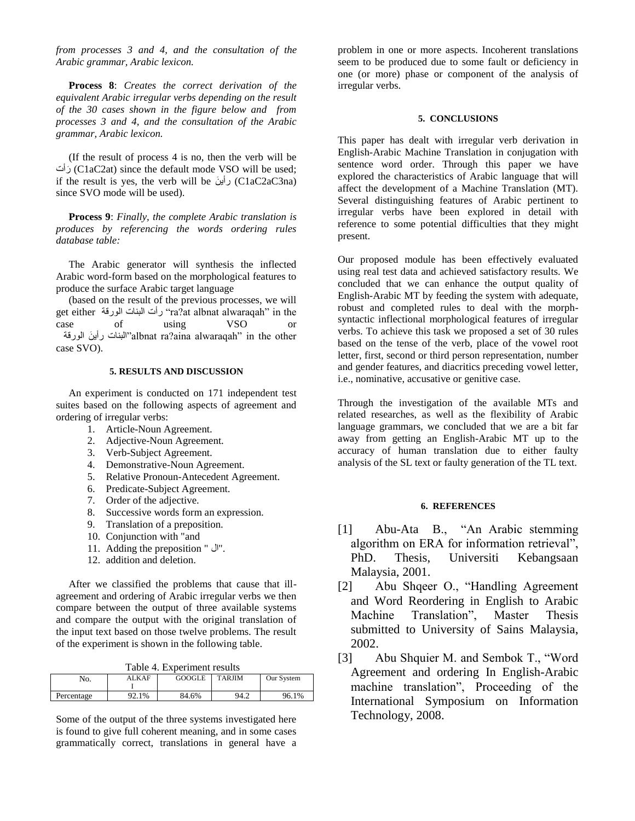*from processes 3 and 4, and the consultation of the Arabic grammar, Arabic lexicon.*

**Process 8**: *Creates the correct derivation of the equivalent Arabic irregular verbs depending on the result of the 30 cases shown in the figure below and from processes 3 and 4, and the consultation of the Arabic grammar, Arabic lexicon.*

(If the result of process 4 is no, then the verb will be رأتَ) C1aC2at) since the default mode VSO will be used; if the result is yes, the verb will be  $\cup$  (C1aC2aC3na) since SVO mode will be used).

**Process 9**: *Finally, the complete Arabic translation is produces by referencing the words ordering rules database table:*

The Arabic generator will synthesis the inflected Arabic word-form based on the morphological features to produce the surface Arabic target language

(based on the result of the previous processes, we will get either الىرقة البنات رأت" ra?at albnat alwaraqah" in the case of using VSO or البنات رأينَ الورقة''albnat ra?aina alwaraqah'' in the other case SVO).

## **5. RESULTS AND DISCUSSION**

An experiment is conducted on 171 independent test suites based on the following aspects of agreement and ordering of irregular verbs:

- 1. Article-Noun Agreement.
- 2. Adjective-Noun Agreement.
- 3. Verb-Subject Agreement.
- 4. Demonstrative-Noun Agreement.
- 5. Relative Pronoun-Antecedent Agreement.
- 6. Predicate-Subject Agreement.
- 7. Order of the adjective.
- 8. Successive words form an expression.
- 9. Translation of a preposition.
- 10. Conjunction with "and
- 11. Adding the preposition " ال".
- 12. addition and deletion.

After we classified the problems that cause that illagreement and ordering of Arabic irregular verbs we then compare between the output of three available systems and compare the output with the original translation of the input text based on those twelve problems. The result of the experiment is shown in the following table.

|  | Table 4. Experiment results |
|--|-----------------------------|
|--|-----------------------------|

| No.        | <b>ALKAF</b> | GOOGLE | <b>TARJIM</b> | Our System |
|------------|--------------|--------|---------------|------------|
|            |              |        |               |            |
| Percentage | 92.1%        | 84.6%  | 94.2          | 96.1%      |

Some of the output of the three systems investigated here is found to give full coherent meaning, and in some cases grammatically correct, translations in general have a problem in one or more aspects. Incoherent translations seem to be produced due to some fault or deficiency in one (or more) phase or component of the analysis of irregular verbs.

# **5. CONCLUSIONS**

This paper has dealt with irregular verb derivation in English-Arabic Machine Translation in conjugation with sentence word order. Through this paper we have explored the characteristics of Arabic language that will affect the development of a Machine Translation (MT). Several distinguishing features of Arabic pertinent to irregular verbs have been explored in detail with reference to some potential difficulties that they might present.

Our proposed module has been effectively evaluated using real test data and achieved satisfactory results. We concluded that we can enhance the output quality of English-Arabic MT by feeding the system with adequate, robust and completed rules to deal with the morphsyntactic inflectional morphological features of irregular verbs. To achieve this task we proposed a set of 30 rules based on the tense of the verb, place of the vowel root letter, first, second or third person representation, number and gender features, and diacritics preceding vowel letter, i.e., nominative, accusative or genitive case.

Through the investigation of the available MTs and related researches, as well as the flexibility of Arabic language grammars, we concluded that we are a bit far away from getting an English-Arabic MT up to the accuracy of human translation due to either faulty analysis of the SL text or faulty generation of the TL text.

#### **6. REFERENCES**

- [1] Abu-Ata B., "An Arabic stemming algorithm on ERA for information retrieval", PhD. Thesis, Universiti Kebangsaan Malaysia, 2001.
- [2] Abu Shqeer O., "Handling Agreement and Word Reordering in English to Arabic Machine Translation", Master Thesis submitted to University of Sains Malaysia, 2002.
- [3] Abu Shquier M. and Sembok T., "Word Agreement and ordering In English-Arabic machine translation", Proceeding of the International Symposium on Information Technology, 2008.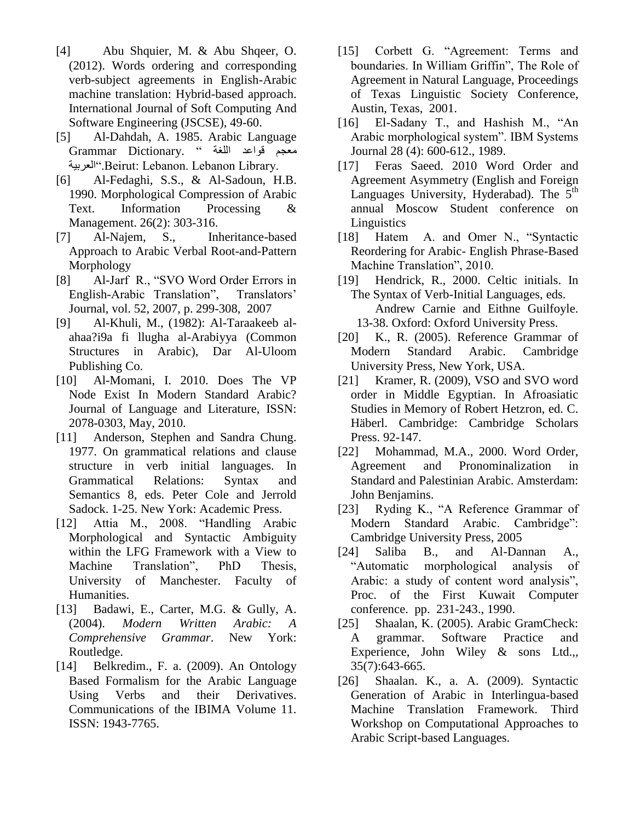- [4] Abu Shquier, M. & Abu Shqeer, O. (2012). Words ordering and corresponding verb-subject agreements in English-Arabic machine translation: Hybrid-based approach. International Journal of Soft Computing And Software Engineering (JSCSE), 49-60.
- [5] Al-Dahdah, A. 1985. Arabic Language هعجن قىاعد اللغة " .Dictionary Grammar العربية".Beirut: Lebanon. Lebanon Library.
- [6] Al-Fedaghi, S.S., & Al-Sadoun, H.B. 1990. Morphological Compression of Arabic Text. Information Processing & Management. 26(2): 303-316.
- [7] Al-Najem, S., Inheritance-based Approach to Arabic Verbal Root-and-Pattern Morphology
- [8] Al-Jarf R., "SVO Word Order Errors in English-Arabic Translation", Translators' Journal, vol. 52, 2007, p. 299-308, 2007
- [9] Al-Khuli, M., (1982): Al-Taraakeeb alahaa?i9a fi llugha al-Arabiyya (Common Structures in Arabic), Dar Al-Uloom Publishing Co.
- [10] Al-Momani, I. 2010. Does The VP Node Exist In Modern Standard Arabic? Journal of Language and Literature, ISSN: 2078-0303, May, 2010.
- [11] Anderson, Stephen and Sandra Chung. 1977. On grammatical relations and clause structure in verb initial languages. In Grammatical Relations: Syntax and Semantics 8, eds. Peter Cole and Jerrold Sadock. 1-25. New York: Academic Press.
- [12] Attia M., 2008. "Handling Arabic Morphological and Syntactic Ambiguity within the LFG Framework with a View to Machine Translation", PhD Thesis, University of Manchester. Faculty of Humanities.
- [13] Badawi, E., Carter, M.G. & Gully, A. (2004). *Modern Written Arabic: A Comprehensive Grammar*. New York: Routledge.
- [14] Belkredim., F. a. (2009). An Ontology Based Formalism for the Arabic Language Using Verbs and their Derivatives. Communications of the IBIMA Volume 11. ISSN: 1943-7765.
- [15] Corbett G. "Agreement: Terms and boundaries. In William Griffin", The Role of Agreement in Natural Language, Proceedings of Texas Linguistic Society Conference, Austin, Texas, 2001.
- [16] El-Sadany T., and Hashish M., "An Arabic morphological system". IBM Systems Journal 28 (4): 600-612., 1989.
- [17] Feras Saeed. 2010 Word Order and [Agreement Asymmetry](http://mscl.philol.msu.ru/abstracts/saeed.pdf) (English and Foreign Languages University, Hyderabad). The  $5<sup>th</sup>$ annual Moscow Student conference on **Linguistics**
- [18] Hatem A. and Omer N., "Syntactic Reordering for Arabic- English Phrase-Based Machine Translation", 2010.
- [19] Hendrick, R., 2000. Celtic initials. In The Syntax of Verb-Initial Languages, eds. Andrew Carnie and Eithne Guilfoyle. 13-38. Oxford: Oxford University Press.
- [20] K., R. (2005). Reference Grammar of Modern Standard Arabic. Cambridge University Press, New York, USA.
- [21] Kramer, R. (2009), VSO and SVO word order in Middle Egyptian. In Afroasiatic Studies in Memory of Robert Hetzron, ed. C. Häberl. Cambridge: Cambridge Scholars Press. 92-147.
- [22] Mohammad, M.A., 2000. Word Order, Agreement and Pronominalization in Standard and Palestinian Arabic. Amsterdam: John Benjamins.
- [23] Ryding K., "A Reference Grammar of Modern Standard Arabic. Cambridge": Cambridge University Press, 2005
- [24] Saliba B., and Al-Dannan A., "Automatic morphological analysis of Arabic: a study of content word analysis", Proc. of the First Kuwait Computer conference. pp. 231-243., 1990.
- [25] Shaalan, K. (2005). Arabic GramCheck: A grammar. Software Practice and Experience, John Wiley & sons Ltd.,, 35(7):643-665.
- [26] Shaalan. K., a. A. (2009). Syntactic Generation of Arabic in Interlingua-based Machine Translation Framework. Third Workshop on Computational Approaches to Arabic Script-based Languages.